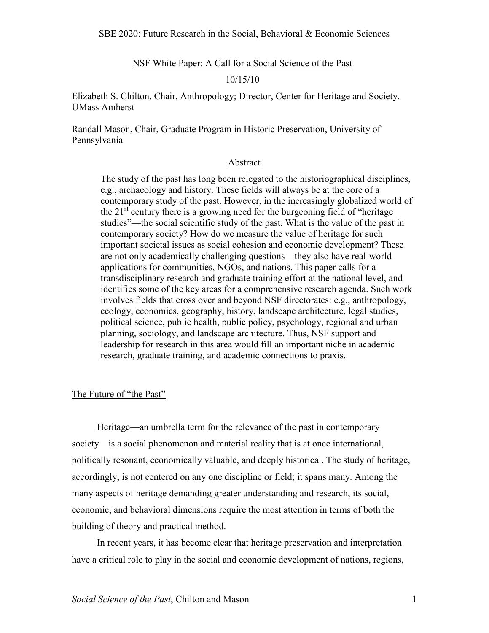NSF White Paper: A Call for a Social Science of the Past

#### 10/15/10

Elizabeth S. Chilton, Chair, Anthropology; Director, Center for Heritage and Society, UMass Amherst

Randall Mason, Chair, Graduate Program in Historic Preservation, University of Pennsylvania

### Abstract

The study of the past has long been relegated to the historiographical disciplines, e.g., archaeology and history. These fields will always be at the core of a contemporary study of the past. However, in the increasingly globalized world of the  $21<sup>st</sup>$  century there is a growing need for the burgeoning field of "heritage" studies"—the social scientific study of the past. What is the value of the past in contemporary society? How do we measure the value of heritage for such important societal issues as social cohesion and economic development? These are not only academically challenging questions—they also have real-world applications for communities, NGOs, and nations. This paper calls for a transdisciplinary research and graduate training effort at the national level, and identifies some of the key areas for a comprehensive research agenda. Such work involves fields that cross over and beyond NSF directorates: e.g., anthropology, ecology, economics, geography, history, landscape architecture, legal studies, political science, public health, public policy, psychology, regional and urban planning, sociology, and landscape architecture. Thus, NSF support and leadership for research in this area would fill an important niche in academic research, graduate training, and academic connections to praxis.

# The Future of "the Past"

Heritage—an umbrella term for the relevance of the past in contemporary society—is a social phenomenon and material reality that is at once international, politically resonant, economically valuable, and deeply historical. The study of heritage, accordingly, is not centered on any one discipline or field; it spans many. Among the many aspects of heritage demanding greater understanding and research, its social, economic, and behavioral dimensions require the most attention in terms of both the building of theory and practical method.

In recent years, it has become clear that heritage preservation and interpretation have a critical role to play in the social and economic development of nations, regions,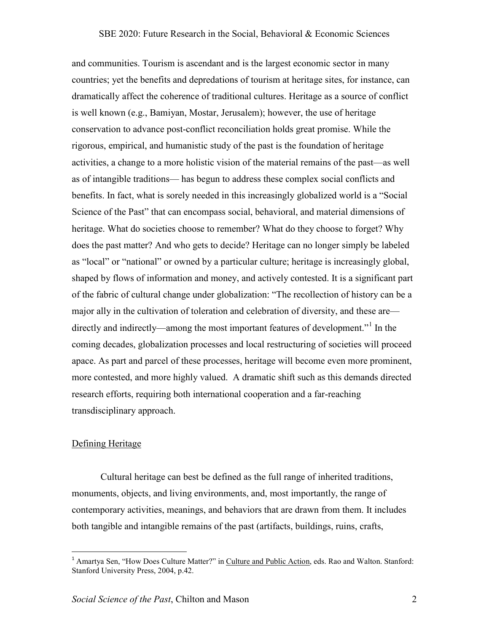### SBE 2020: Future Research in the Social, Behavioral & Economic Sciences

and communities. Tourism is ascendant and is the largest economic sector in many countries; yet the benefits and depredations of tourism at heritage sites, for instance, can dramatically affect the coherence of traditional cultures. Heritage as a source of conflict is well known (e.g., Bamiyan, Mostar, Jerusalem); however, the use of heritage conservation to advance post-conflict reconciliation holds great promise. While the rigorous, empirical, and humanistic study of the past is the foundation of heritage activities, a change to a more holistic vision of the material remains of the past—as well as of intangible traditions— has begun to address these complex social conflicts and benefits. In fact, what is sorely needed in this increasingly globalized world is a "Social Science of the Past" that can encompass social, behavioral, and material dimensions of heritage. What do societies choose to remember? What do they choose to forget? Why does the past matter? And who gets to decide? Heritage can no longer simply be labeled as "local" or "national" or owned by a particular culture; heritage is increasingly global, shaped by flows of information and money, and actively contested. It is a significant part of the fabric of cultural change under globalization: "The recollection of history can be a major ally in the cultivation of toleration and celebration of diversity, and these are— directly and indirectly—among the most important features of development."<sup>[1](#page-1-0)</sup> In the coming decades, globalization processes and local restructuring of societies will proceed apace. As part and parcel of these processes, heritage will become even more prominent, more contested, and more highly valued. A dramatic shift such as this demands directed research efforts, requiring both international cooperation and a far-reaching transdisciplinary approach.

### Defining Heritage

 Cultural heritage can best be defined as the full range of inherited traditions, monuments, objects, and living environments, and, most importantly, the range of contemporary activities, meanings, and behaviors that are drawn from them. It includes both tangible and intangible remains of the past (artifacts, buildings, ruins, crafts,

!!!!!!!!!!!!!!!!!!!!!!!!!!!!!!!!!!!!!!!!!!!!!!!!!!!!!

<span id="page-1-0"></span><sup>&</sup>lt;sup>1</sup> Amartya Sen, "How Does Culture Matter?" in *Culture and Public Action*, eds. Rao and Walton. Stanford: Stanford University Press, 2004, p.42.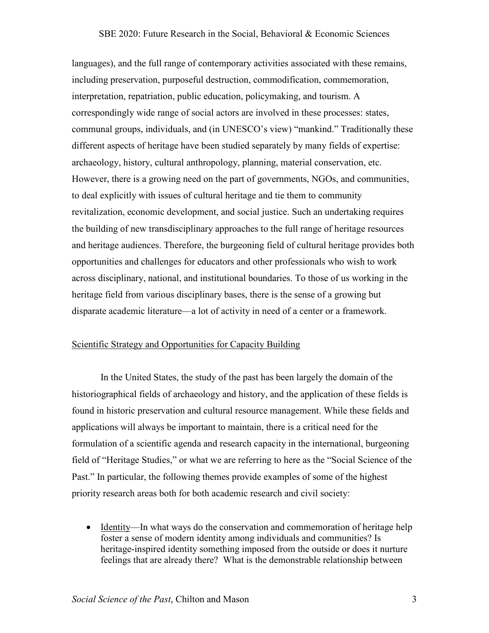#### SBE 2020: Future Research in the Social, Behavioral & Economic Sciences

languages), and the full range of contemporary activities associated with these remains, including preservation, purposeful destruction, commodification, commemoration, interpretation, repatriation, public education, policymaking, and tourism. A correspondingly wide range of social actors are involved in these processes: states, communal groups, individuals, and (in UNESCO's view) "mankind." Traditionally these different aspects of heritage have been studied separately by many fields of expertise: archaeology, history, cultural anthropology, planning, material conservation, etc. However, there is a growing need on the part of governments, NGOs, and communities, to deal explicitly with issues of cultural heritage and tie them to community revitalization, economic development, and social justice. Such an undertaking requires the building of new transdisciplinary approaches to the full range of heritage resources and heritage audiences. Therefore, the burgeoning field of cultural heritage provides both opportunities and challenges for educators and other professionals who wish to work across disciplinary, national, and institutional boundaries. To those of us working in the heritage field from various disciplinary bases, there is the sense of a growing but disparate academic literature—a lot of activity in need of a center or a framework.

# Scientific Strategy and Opportunities for Capacity Building

 In the United States, the study of the past has been largely the domain of the historiographical fields of archaeology and history, and the application of these fields is found in historic preservation and cultural resource management. While these fields and applications will always be important to maintain, there is a critical need for the formulation of a scientific agenda and research capacity in the international, burgeoning field of "Heritage Studies," or what we are referring to here as the "Social Science of the Past." In particular, the following themes provide examples of some of the highest priority research areas both for both academic research and civil society:

• Identity—In what ways do the conservation and commemoration of heritage help foster a sense of modern identity among individuals and communities? Is heritage-inspired identity something imposed from the outside or does it nurture feelings that are already there? What is the demonstrable relationship between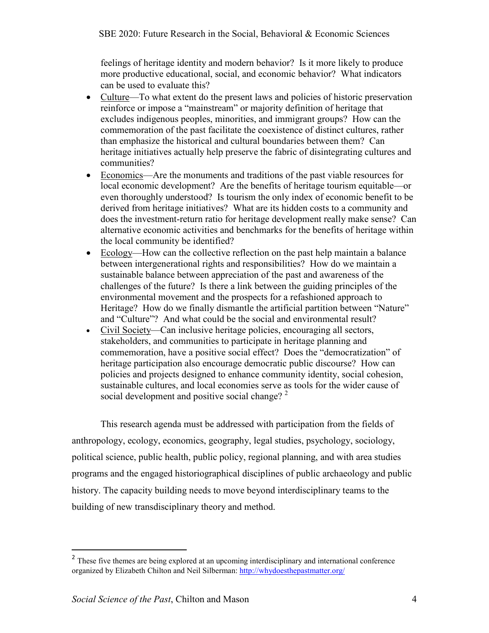feelings of heritage identity and modern behavior? Is it more likely to produce more productive educational, social, and economic behavior? What indicators can be used to evaluate this?

- Culture—To what extent do the present laws and policies of historic preservation reinforce or impose a "mainstream" or majority definition of heritage that excludes indigenous peoples, minorities, and immigrant groups? How can the commemoration of the past facilitate the coexistence of distinct cultures, rather than emphasize the historical and cultural boundaries between them? Can heritage initiatives actually help preserve the fabric of disintegrating cultures and communities?
- Economics—Are the monuments and traditions of the past viable resources for local economic development? Are the benefits of heritage tourism equitable—or even thoroughly understood? Is tourism the only index of economic benefit to be derived from heritage initiatives? What are its hidden costs to a community and does the investment-return ratio for heritage development really make sense? Can alternative economic activities and benchmarks for the benefits of heritage within the local community be identified?
- Ecology—How can the collective reflection on the past help maintain a balance between intergenerational rights and responsibilities? How do we maintain a sustainable balance between appreciation of the past and awareness of the challenges of the future? Is there a link between the guiding principles of the environmental movement and the prospects for a refashioned approach to Heritage? How do we finally dismantle the artificial partition between "Nature" and "Culture"? And what could be the social and environmental result?
- Civil Society—Can inclusive heritage policies, encouraging all sectors, stakeholders, and communities to participate in heritage planning and commemoration, have a positive social effect? Does the "democratization" of heritage participation also encourage democratic public discourse? How can policies and projects designed to enhance community identity, social cohesion, sustainable cultures, and local economies serve as tools for the wider cause of social development and positive social change?  $2^2$  $2^2$

This research agenda must be addressed with participation from the fields of anthropology, ecology, economics, geography, legal studies, psychology, sociology, political science, public health, public policy, regional planning, and with area studies programs and the engaged historiographical disciplines of public archaeology and public history. The capacity building needs to move beyond interdisciplinary teams to the building of new transdisciplinary theory and method.

!!!!!!!!!!!!!!!!!!!!!!!!!!!!!!!!!!!!!!!!!!!!!!!!!!!!!

<span id="page-3-0"></span> $<sup>2</sup>$  These five themes are being explored at an upcoming interdisciplinary and international conference</sup> organized by Elizabeth Chilton and Neil Silberman:<http://whydoesthepastmatter.org/>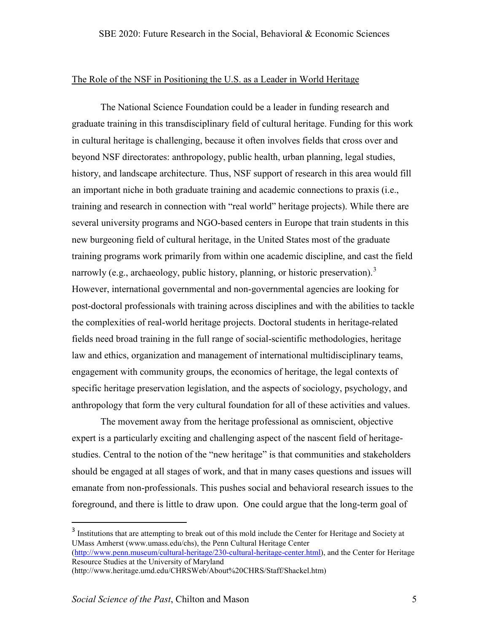## The Role of the NSF in Positioning the U.S. as a Leader in World Heritage

 The National Science Foundation could be a leader in funding research and graduate training in this transdisciplinary field of cultural heritage. Funding for this work in cultural heritage is challenging, because it often involves fields that cross over and beyond NSF directorates: anthropology, public health, urban planning, legal studies, history, and landscape architecture. Thus, NSF support of research in this area would fill an important niche in both graduate training and academic connections to praxis (i.e., training and research in connection with "real world" heritage projects). While there are several university programs and NGO-based centers in Europe that train students in this new burgeoning field of cultural heritage, in the United States most of the graduate training programs work primarily from within one academic discipline, and cast the field narrowly (e.g., archaeology, public history, planning, or historic preservation).<sup>[3](#page-4-0)</sup> However, international governmental and non-governmental agencies are looking for post-doctoral professionals with training across disciplines and with the abilities to tackle the complexities of real-world heritage projects. Doctoral students in heritage-related fields need broad training in the full range of social-scientific methodologies, heritage law and ethics, organization and management of international multidisciplinary teams, engagement with community groups, the economics of heritage, the legal contexts of specific heritage preservation legislation, and the aspects of sociology, psychology, and anthropology that form the very cultural foundation for all of these activities and values.

 The movement away from the heritage professional as omniscient, objective expert is a particularly exciting and challenging aspect of the nascent field of heritagestudies. Central to the notion of the "new heritage" is that communities and stakeholders should be engaged at all stages of work, and that in many cases questions and issues will emanate from non-professionals. This pushes social and behavioral research issues to the foreground, and there is little to draw upon. One could argue that the long-term goal of

!!!!!!!!!!!!!!!!!!!!!!!!!!!!!!!!!!!!!!!!!!!!!!!!!!!!!

<span id="page-4-0"></span><sup>&</sup>lt;sup>3</sup> Institutions that are attempting to break out of this mold include the Center for Heritage and Society at UMass Amherst (www.umass.edu/chs), the Penn Cultural Heritage Center [\(http://www.penn.museum/cultural-heritage/230-cultural-heritage-center.html\)](http://www.penn.museum/cultural-heritage/230-cultural-heritage-center.html), and the Center for Heritage

Resource Studies at the University of Maryland

<sup>(</sup>http://www.heritage.umd.edu/CHRSWeb/About%20CHRS/Staff/Shackel.htm)